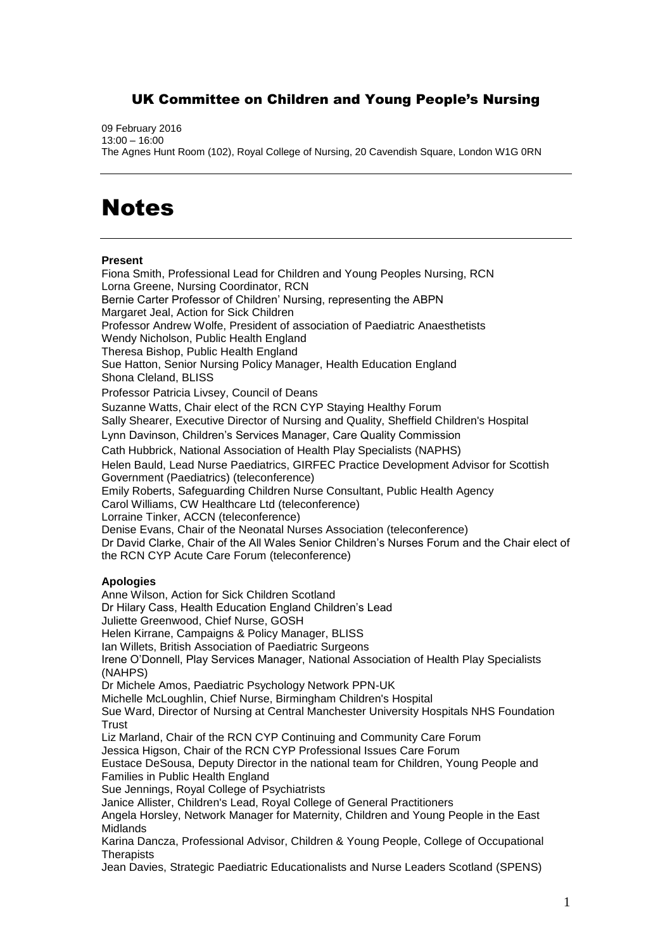## UK Committee on Children and Young People's Nursing

09 February 2016 13:00 – 16:00 The Agnes Hunt Room (102), Royal College of Nursing, 20 Cavendish Square, London W1G 0RN

## **Notes**

## **Present**

Fiona Smith, Professional Lead for Children and Young Peoples Nursing, RCN Lorna Greene, Nursing Coordinator, RCN Bernie Carter Professor of Children' Nursing, representing the ABPN Margaret Jeal, Action for Sick Children Professor Andrew Wolfe, President of association of Paediatric Anaesthetists Wendy Nicholson, Public Health England Theresa Bishop, Public Health England Sue Hatton, Senior Nursing Policy Manager, Health Education England Shona Cleland, BLISS Professor Patricia Livsey, Council of Deans Suzanne Watts, Chair elect of the RCN CYP Staying Healthy Forum Sally Shearer, Executive Director of Nursing and Quality, Sheffield Children's Hospital Lynn Davinson, Children's Services Manager, Care Quality Commission Cath Hubbrick, National Association of Health Play Specialists (NAPHS) Helen Bauld, Lead Nurse Paediatrics, GIRFEC Practice Development Advisor for Scottish Government (Paediatrics) (teleconference) Emily Roberts, Safeguarding Children Nurse Consultant, Public Health Agency Carol Williams, CW Healthcare Ltd (teleconference) Lorraine Tinker, ACCN (teleconference) Denise Evans, Chair of the Neonatal Nurses Association (teleconference) Dr David Clarke, Chair of the All Wales Senior Children's Nurses Forum and the Chair elect of the RCN CYP Acute Care Forum (teleconference)

## **Apologies**

Anne Wilson, Action for Sick Children Scotland Dr Hilary Cass, Health Education England Children's Lead Juliette Greenwood, Chief Nurse, GOSH Helen Kirrane, Campaigns & Policy Manager, BLISS Ian Willets, British Association of Paediatric Surgeons Irene O'Donnell, Play Services Manager, National Association of Health Play Specialists (NAHPS) Dr Michele Amos, Paediatric Psychology Network PPN-UK Michelle McLoughlin, Chief Nurse, Birmingham Children's Hospital Sue Ward, Director of Nursing at Central Manchester University Hospitals NHS Foundation **Trust** Liz Marland, Chair of the RCN CYP Continuing and Community Care Forum Jessica Higson, Chair of the RCN CYP Professional Issues Care Forum Eustace DeSousa, Deputy Director in the national team for Children, Young People and Families in Public Health England Sue Jennings, Royal College of Psychiatrists Janice Allister, Children's Lead, Royal College of General Practitioners Angela Horsley, Network Manager for Maternity, Children and Young People in the East Midlands Karina Dancza, Professional Advisor, Children & Young People, College of Occupational **Therapists** 

Jean Davies, Strategic Paediatric Educationalists and Nurse Leaders Scotland (SPENS)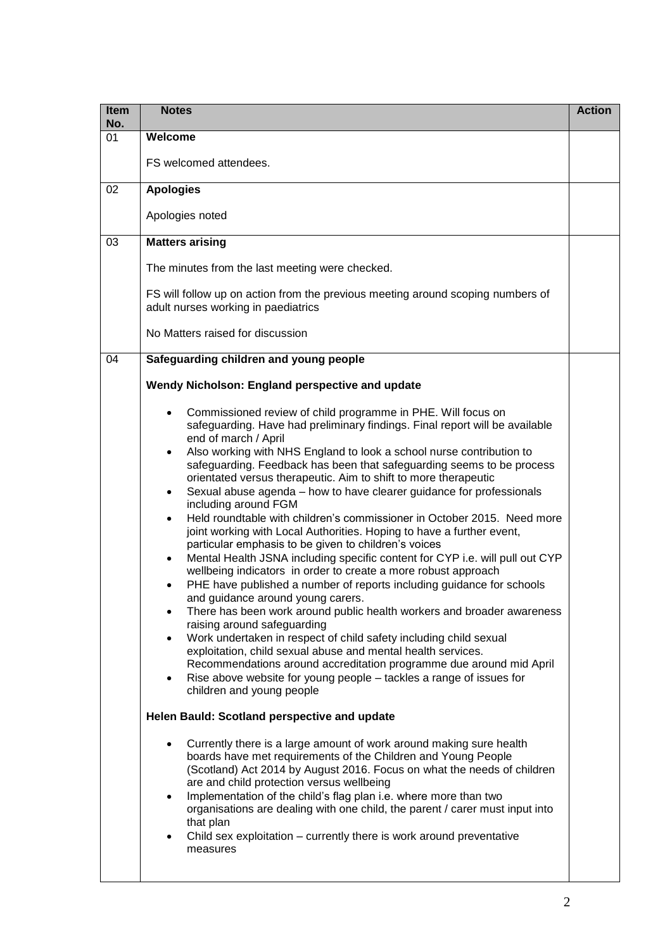| Item<br>No. | <b>Notes</b>                                                                                                                                                                                                                                                                                                                                                                                                                                                                                                                                                                                                                                                                                                                                                                                                                                                                                                                                                                                                                                                                                                                                                                                                                                                                                                                                                                                                                                                                                 | <b>Action</b> |
|-------------|----------------------------------------------------------------------------------------------------------------------------------------------------------------------------------------------------------------------------------------------------------------------------------------------------------------------------------------------------------------------------------------------------------------------------------------------------------------------------------------------------------------------------------------------------------------------------------------------------------------------------------------------------------------------------------------------------------------------------------------------------------------------------------------------------------------------------------------------------------------------------------------------------------------------------------------------------------------------------------------------------------------------------------------------------------------------------------------------------------------------------------------------------------------------------------------------------------------------------------------------------------------------------------------------------------------------------------------------------------------------------------------------------------------------------------------------------------------------------------------------|---------------|
| 01          | Welcome                                                                                                                                                                                                                                                                                                                                                                                                                                                                                                                                                                                                                                                                                                                                                                                                                                                                                                                                                                                                                                                                                                                                                                                                                                                                                                                                                                                                                                                                                      |               |
|             | FS welcomed attendees.                                                                                                                                                                                                                                                                                                                                                                                                                                                                                                                                                                                                                                                                                                                                                                                                                                                                                                                                                                                                                                                                                                                                                                                                                                                                                                                                                                                                                                                                       |               |
| 02          | <b>Apologies</b>                                                                                                                                                                                                                                                                                                                                                                                                                                                                                                                                                                                                                                                                                                                                                                                                                                                                                                                                                                                                                                                                                                                                                                                                                                                                                                                                                                                                                                                                             |               |
|             | Apologies noted                                                                                                                                                                                                                                                                                                                                                                                                                                                                                                                                                                                                                                                                                                                                                                                                                                                                                                                                                                                                                                                                                                                                                                                                                                                                                                                                                                                                                                                                              |               |
| 03          | <b>Matters arising</b>                                                                                                                                                                                                                                                                                                                                                                                                                                                                                                                                                                                                                                                                                                                                                                                                                                                                                                                                                                                                                                                                                                                                                                                                                                                                                                                                                                                                                                                                       |               |
|             | The minutes from the last meeting were checked.                                                                                                                                                                                                                                                                                                                                                                                                                                                                                                                                                                                                                                                                                                                                                                                                                                                                                                                                                                                                                                                                                                                                                                                                                                                                                                                                                                                                                                              |               |
|             | FS will follow up on action from the previous meeting around scoping numbers of<br>adult nurses working in paediatrics                                                                                                                                                                                                                                                                                                                                                                                                                                                                                                                                                                                                                                                                                                                                                                                                                                                                                                                                                                                                                                                                                                                                                                                                                                                                                                                                                                       |               |
|             | No Matters raised for discussion                                                                                                                                                                                                                                                                                                                                                                                                                                                                                                                                                                                                                                                                                                                                                                                                                                                                                                                                                                                                                                                                                                                                                                                                                                                                                                                                                                                                                                                             |               |
| 04          | Safeguarding children and young people                                                                                                                                                                                                                                                                                                                                                                                                                                                                                                                                                                                                                                                                                                                                                                                                                                                                                                                                                                                                                                                                                                                                                                                                                                                                                                                                                                                                                                                       |               |
|             | Wendy Nicholson: England perspective and update                                                                                                                                                                                                                                                                                                                                                                                                                                                                                                                                                                                                                                                                                                                                                                                                                                                                                                                                                                                                                                                                                                                                                                                                                                                                                                                                                                                                                                              |               |
|             | Commissioned review of child programme in PHE. Will focus on<br>safeguarding. Have had preliminary findings. Final report will be available<br>end of march / April<br>Also working with NHS England to look a school nurse contribution to<br>$\bullet$<br>safeguarding. Feedback has been that safeguarding seems to be process<br>orientated versus therapeutic. Aim to shift to more therapeutic<br>Sexual abuse agenda - how to have clearer guidance for professionals<br>$\bullet$<br>including around FGM<br>Held roundtable with children's commissioner in October 2015. Need more<br>$\bullet$<br>joint working with Local Authorities. Hoping to have a further event,<br>particular emphasis to be given to children's voices<br>Mental Health JSNA including specific content for CYP i.e. will pull out CYP<br>$\bullet$<br>wellbeing indicators in order to create a more robust approach<br>PHE have published a number of reports including guidance for schools<br>$\bullet$<br>and guidance around young carers.<br>There has been work around public health workers and broader awareness<br>٠<br>raising around safeguarding<br>Work undertaken in respect of child safety including child sexual<br>$\bullet$<br>exploitation, child sexual abuse and mental health services.<br>Recommendations around accreditation programme due around mid April<br>Rise above website for young people – tackles a range of issues for<br>$\bullet$<br>children and young people |               |
|             | Helen Bauld: Scotland perspective and update<br>Currently there is a large amount of work around making sure health<br>$\bullet$<br>boards have met requirements of the Children and Young People<br>(Scotland) Act 2014 by August 2016. Focus on what the needs of children<br>are and child protection versus wellbeing<br>Implementation of the child's flag plan i.e. where more than two<br>$\bullet$<br>organisations are dealing with one child, the parent / carer must input into<br>that plan<br>Child sex exploitation – currently there is work around preventative<br>$\bullet$<br>measures                                                                                                                                                                                                                                                                                                                                                                                                                                                                                                                                                                                                                                                                                                                                                                                                                                                                                     |               |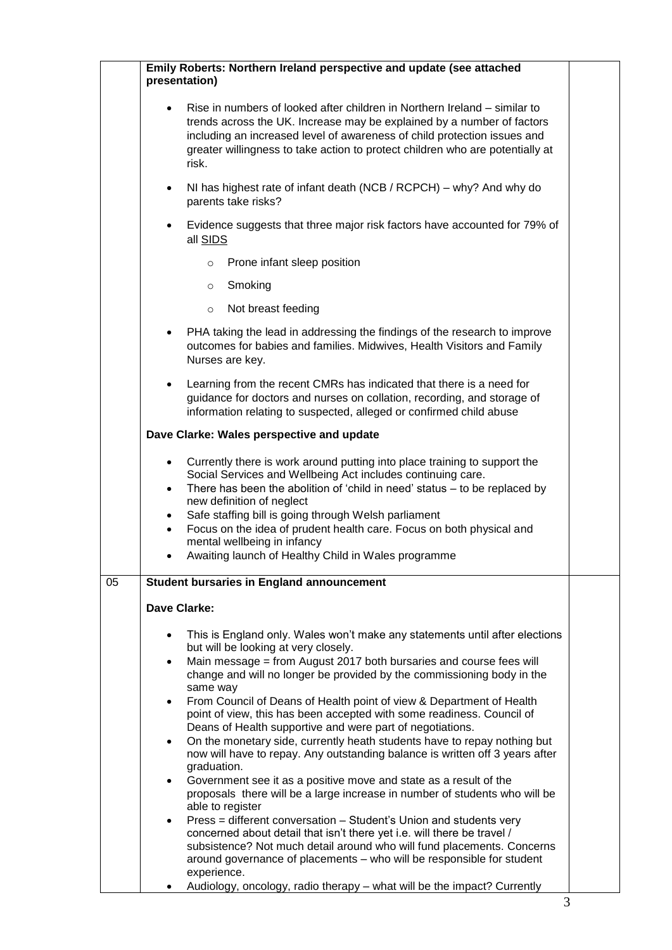|    | Emily Roberts: Northern Ireland perspective and update (see attached<br>presentation)                                                                                                                                                                                                                                                                                                                                                                                                                                                                                                                                                                                                                                                                                                                                                                                                                                                                                                                                                                                                                                                                                                                                      |  |
|----|----------------------------------------------------------------------------------------------------------------------------------------------------------------------------------------------------------------------------------------------------------------------------------------------------------------------------------------------------------------------------------------------------------------------------------------------------------------------------------------------------------------------------------------------------------------------------------------------------------------------------------------------------------------------------------------------------------------------------------------------------------------------------------------------------------------------------------------------------------------------------------------------------------------------------------------------------------------------------------------------------------------------------------------------------------------------------------------------------------------------------------------------------------------------------------------------------------------------------|--|
|    | Rise in numbers of looked after children in Northern Ireland – similar to<br>$\bullet$<br>trends across the UK. Increase may be explained by a number of factors<br>including an increased level of awareness of child protection issues and<br>greater willingness to take action to protect children who are potentially at<br>risk.                                                                                                                                                                                                                                                                                                                                                                                                                                                                                                                                                                                                                                                                                                                                                                                                                                                                                     |  |
|    | NI has highest rate of infant death (NCB / RCPCH) – why? And why do<br>$\bullet$<br>parents take risks?                                                                                                                                                                                                                                                                                                                                                                                                                                                                                                                                                                                                                                                                                                                                                                                                                                                                                                                                                                                                                                                                                                                    |  |
|    | Evidence suggests that three major risk factors have accounted for 79% of<br>$\bullet$<br>all SIDS                                                                                                                                                                                                                                                                                                                                                                                                                                                                                                                                                                                                                                                                                                                                                                                                                                                                                                                                                                                                                                                                                                                         |  |
|    | Prone infant sleep position<br>$\circ$                                                                                                                                                                                                                                                                                                                                                                                                                                                                                                                                                                                                                                                                                                                                                                                                                                                                                                                                                                                                                                                                                                                                                                                     |  |
|    | Smoking<br>$\circ$                                                                                                                                                                                                                                                                                                                                                                                                                                                                                                                                                                                                                                                                                                                                                                                                                                                                                                                                                                                                                                                                                                                                                                                                         |  |
|    | Not breast feeding<br>$\circ$                                                                                                                                                                                                                                                                                                                                                                                                                                                                                                                                                                                                                                                                                                                                                                                                                                                                                                                                                                                                                                                                                                                                                                                              |  |
|    | PHA taking the lead in addressing the findings of the research to improve<br>$\bullet$<br>outcomes for babies and families. Midwives, Health Visitors and Family<br>Nurses are key.                                                                                                                                                                                                                                                                                                                                                                                                                                                                                                                                                                                                                                                                                                                                                                                                                                                                                                                                                                                                                                        |  |
|    | Learning from the recent CMRs has indicated that there is a need for<br>$\bullet$<br>guidance for doctors and nurses on collation, recording, and storage of<br>information relating to suspected, alleged or confirmed child abuse                                                                                                                                                                                                                                                                                                                                                                                                                                                                                                                                                                                                                                                                                                                                                                                                                                                                                                                                                                                        |  |
|    | Dave Clarke: Wales perspective and update                                                                                                                                                                                                                                                                                                                                                                                                                                                                                                                                                                                                                                                                                                                                                                                                                                                                                                                                                                                                                                                                                                                                                                                  |  |
|    | Currently there is work around putting into place training to support the<br>$\bullet$<br>Social Services and Wellbeing Act includes continuing care.<br>There has been the abolition of 'child in need' status $-$ to be replaced by<br>$\bullet$<br>new definition of neglect<br>Safe staffing bill is going through Welsh parliament<br>$\bullet$<br>Focus on the idea of prudent health care. Focus on both physical and<br>$\bullet$<br>mental wellbeing in infancy<br>Awaiting launch of Healthy Child in Wales programme                                                                                                                                                                                                                                                                                                                                                                                                                                                                                                                                                                                                                                                                                            |  |
| 05 | <b>Student bursaries in England announcement</b>                                                                                                                                                                                                                                                                                                                                                                                                                                                                                                                                                                                                                                                                                                                                                                                                                                                                                                                                                                                                                                                                                                                                                                           |  |
|    | <b>Dave Clarke:</b>                                                                                                                                                                                                                                                                                                                                                                                                                                                                                                                                                                                                                                                                                                                                                                                                                                                                                                                                                                                                                                                                                                                                                                                                        |  |
|    | This is England only. Wales won't make any statements until after elections<br>٠<br>but will be looking at very closely.<br>Main message = from August 2017 both bursaries and course fees will<br>$\bullet$<br>change and will no longer be provided by the commissioning body in the<br>same way<br>From Council of Deans of Health point of view & Department of Health<br>$\bullet$<br>point of view, this has been accepted with some readiness. Council of<br>Deans of Health supportive and were part of negotiations.<br>On the monetary side, currently heath students have to repay nothing but<br>$\bullet$<br>now will have to repay. Any outstanding balance is written off 3 years after<br>graduation.<br>Government see it as a positive move and state as a result of the<br>$\bullet$<br>proposals there will be a large increase in number of students who will be<br>able to register<br>Press = different conversation – Student's Union and students very<br>$\bullet$<br>concerned about detail that isn't there yet i.e. will there be travel /<br>subsistence? Not much detail around who will fund placements. Concerns<br>around governance of placements - who will be responsible for student |  |
|    | experience.<br>Audiology, oncology, radio therapy - what will be the impact? Currently                                                                                                                                                                                                                                                                                                                                                                                                                                                                                                                                                                                                                                                                                                                                                                                                                                                                                                                                                                                                                                                                                                                                     |  |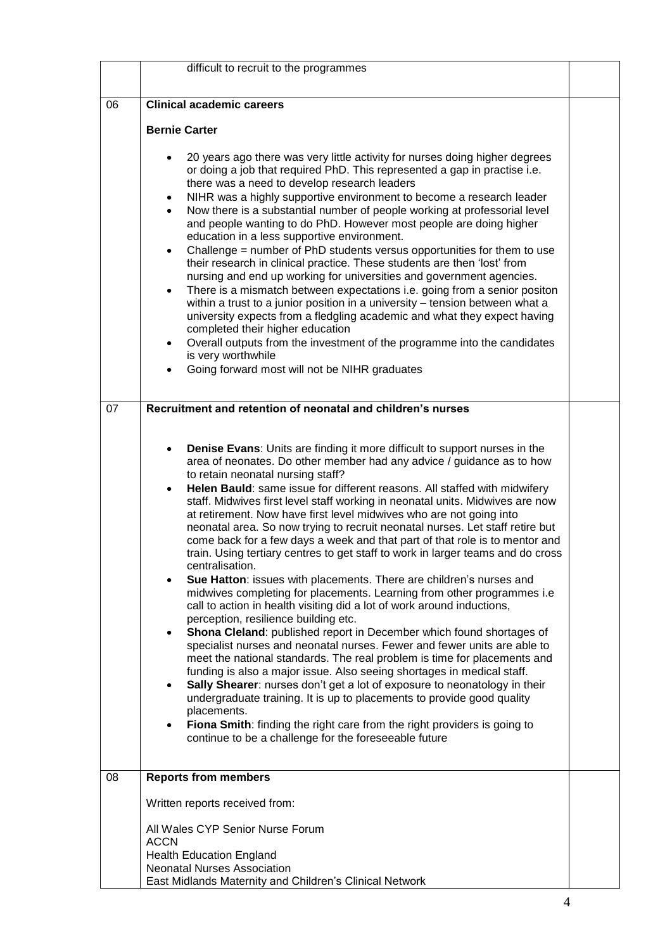|    | difficult to recruit to the programmes                                                                                                                                                                                                                                                                                                                                                                                                                                                                                                                                                                                                                                                                                                                                                                                                                                                                                                                                                                                                                                                                                                                                                                                                                                                                                                                                                                                                                                                                                                                                                                                                          |  |
|----|-------------------------------------------------------------------------------------------------------------------------------------------------------------------------------------------------------------------------------------------------------------------------------------------------------------------------------------------------------------------------------------------------------------------------------------------------------------------------------------------------------------------------------------------------------------------------------------------------------------------------------------------------------------------------------------------------------------------------------------------------------------------------------------------------------------------------------------------------------------------------------------------------------------------------------------------------------------------------------------------------------------------------------------------------------------------------------------------------------------------------------------------------------------------------------------------------------------------------------------------------------------------------------------------------------------------------------------------------------------------------------------------------------------------------------------------------------------------------------------------------------------------------------------------------------------------------------------------------------------------------------------------------|--|
|    |                                                                                                                                                                                                                                                                                                                                                                                                                                                                                                                                                                                                                                                                                                                                                                                                                                                                                                                                                                                                                                                                                                                                                                                                                                                                                                                                                                                                                                                                                                                                                                                                                                                 |  |
| 06 | <b>Clinical academic careers</b>                                                                                                                                                                                                                                                                                                                                                                                                                                                                                                                                                                                                                                                                                                                                                                                                                                                                                                                                                                                                                                                                                                                                                                                                                                                                                                                                                                                                                                                                                                                                                                                                                |  |
|    | <b>Bernie Carter</b>                                                                                                                                                                                                                                                                                                                                                                                                                                                                                                                                                                                                                                                                                                                                                                                                                                                                                                                                                                                                                                                                                                                                                                                                                                                                                                                                                                                                                                                                                                                                                                                                                            |  |
|    | 20 years ago there was very little activity for nurses doing higher degrees<br>$\bullet$<br>or doing a job that required PhD. This represented a gap in practise i.e.<br>there was a need to develop research leaders<br>NIHR was a highly supportive environment to become a research leader<br>$\bullet$<br>Now there is a substantial number of people working at professorial level<br>$\bullet$<br>and people wanting to do PhD. However most people are doing higher<br>education in a less supportive environment.<br>Challenge = number of PhD students versus opportunities for them to use<br>٠<br>their research in clinical practice. These students are then 'lost' from<br>nursing and end up working for universities and government agencies.<br>There is a mismatch between expectations i.e. going from a senior positon<br>٠<br>within a trust to a junior position in a university - tension between what a<br>university expects from a fledgling academic and what they expect having<br>completed their higher education<br>Overall outputs from the investment of the programme into the candidates<br>is very worthwhile<br>Going forward most will not be NIHR graduates                                                                                                                                                                                                                                                                                                                                                                                                                                              |  |
| 07 | Recruitment and retention of neonatal and children's nurses                                                                                                                                                                                                                                                                                                                                                                                                                                                                                                                                                                                                                                                                                                                                                                                                                                                                                                                                                                                                                                                                                                                                                                                                                                                                                                                                                                                                                                                                                                                                                                                     |  |
|    | Denise Evans: Units are finding it more difficult to support nurses in the<br>area of neonates. Do other member had any advice / guidance as to how<br>to retain neonatal nursing staff?<br>Helen Bauld: same issue for different reasons. All staffed with midwifery<br>$\bullet$<br>staff. Midwives first level staff working in neonatal units. Midwives are now<br>at retirement. Now have first level midwives who are not going into<br>neonatal area. So now trying to recruit neonatal nurses. Let staff retire but<br>come back for a few days a week and that part of that role is to mentor and<br>train. Using tertiary centres to get staff to work in larger teams and do cross<br>centralisation.<br>Sue Hatton: issues with placements. There are children's nurses and<br>midwives completing for placements. Learning from other programmes i.e<br>call to action in health visiting did a lot of work around inductions,<br>perception, resilience building etc.<br>Shona Cleland: published report in December which found shortages of<br>$\bullet$<br>specialist nurses and neonatal nurses. Fewer and fewer units are able to<br>meet the national standards. The real problem is time for placements and<br>funding is also a major issue. Also seeing shortages in medical staff.<br>Sally Shearer: nurses don't get a lot of exposure to neonatology in their<br>$\bullet$<br>undergraduate training. It is up to placements to provide good quality<br>placements.<br>Fiona Smith: finding the right care from the right providers is going to<br>$\bullet$<br>continue to be a challenge for the foreseeable future |  |
| 08 | <b>Reports from members</b>                                                                                                                                                                                                                                                                                                                                                                                                                                                                                                                                                                                                                                                                                                                                                                                                                                                                                                                                                                                                                                                                                                                                                                                                                                                                                                                                                                                                                                                                                                                                                                                                                     |  |
|    | Written reports received from:<br>All Wales CYP Senior Nurse Forum<br><b>ACCN</b><br><b>Health Education England</b><br><b>Neonatal Nurses Association</b><br>East Midlands Maternity and Children's Clinical Network                                                                                                                                                                                                                                                                                                                                                                                                                                                                                                                                                                                                                                                                                                                                                                                                                                                                                                                                                                                                                                                                                                                                                                                                                                                                                                                                                                                                                           |  |